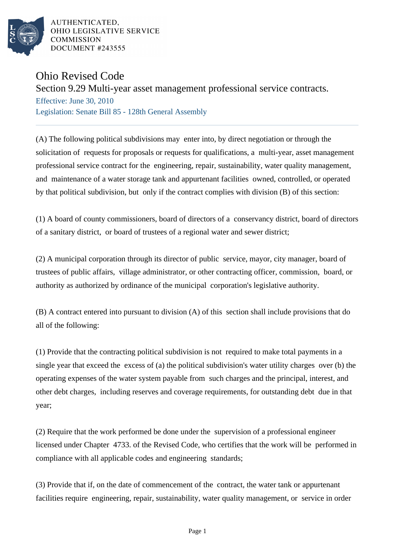

AUTHENTICATED. OHIO LEGISLATIVE SERVICE **COMMISSION** DOCUMENT #243555

## Ohio Revised Code

Section 9.29 Multi-year asset management professional service contracts.

Effective: June 30, 2010 Legislation: Senate Bill 85 - 128th General Assembly

(A) The following political subdivisions may enter into, by direct negotiation or through the solicitation of requests for proposals or requests for qualifications, a multi-year, asset management professional service contract for the engineering, repair, sustainability, water quality management, and maintenance of a water storage tank and appurtenant facilities owned, controlled, or operated by that political subdivision, but only if the contract complies with division (B) of this section:

(1) A board of county commissioners, board of directors of a conservancy district, board of directors of a sanitary district, or board of trustees of a regional water and sewer district;

(2) A municipal corporation through its director of public service, mayor, city manager, board of trustees of public affairs, village administrator, or other contracting officer, commission, board, or authority as authorized by ordinance of the municipal corporation's legislative authority.

(B) A contract entered into pursuant to division (A) of this section shall include provisions that do all of the following:

(1) Provide that the contracting political subdivision is not required to make total payments in a single year that exceed the excess of (a) the political subdivision's water utility charges over (b) the operating expenses of the water system payable from such charges and the principal, interest, and other debt charges, including reserves and coverage requirements, for outstanding debt due in that year;

(2) Require that the work performed be done under the supervision of a professional engineer licensed under Chapter 4733. of the Revised Code, who certifies that the work will be performed in compliance with all applicable codes and engineering standards;

(3) Provide that if, on the date of commencement of the contract, the water tank or appurtenant facilities require engineering, repair, sustainability, water quality management, or service in order